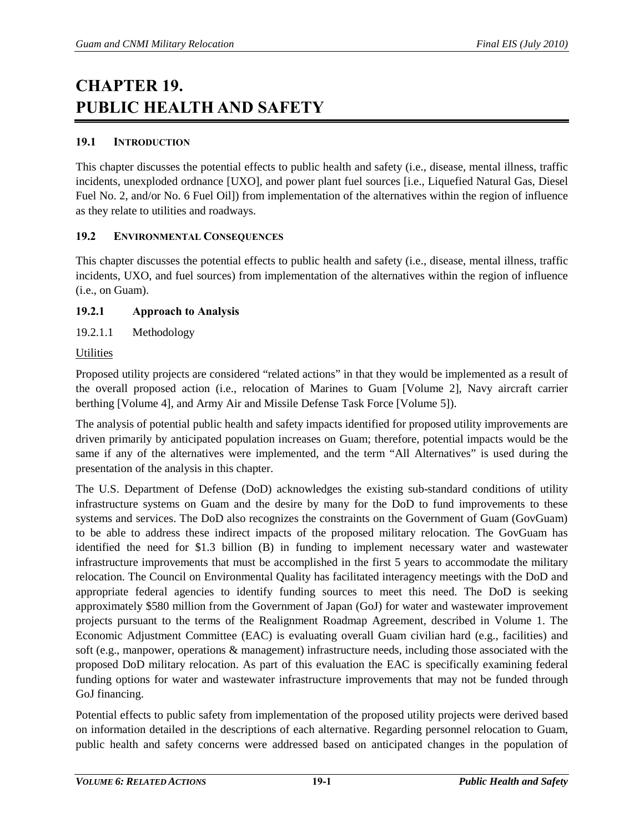# **CHAPTER 19. PUBLIC HEALTH AND SAFETY**

# **19.1 INTRODUCTION**

This chapter discusses the potential effects to public health and safety (i.e., disease, mental illness, traffic incidents, unexploded ordnance [UXO], and power plant fuel sources [i.e., Liquefied Natural Gas, Diesel Fuel No. 2, and/or No. 6 Fuel Oil]) from implementation of the alternatives within the region of influence as they relate to utilities and roadways.

# **19.2 ENVIRONMENTAL CONSEQUENCES**

This chapter discusses the potential effects to public health and safety (i.e., disease, mental illness, traffic incidents, UXO, and fuel sources) from implementation of the alternatives within the region of influence (i.e., on Guam).

# **19.2.1 Approach to Analysis**

19.2.1.1 Methodology

# **Utilities**

Proposed utility projects are considered "related actions" in that they would be implemented as a result of the overall proposed action (i.e., relocation of Marines to Guam [Volume 2], Navy aircraft carrier berthing [Volume 4], and Army Air and Missile Defense Task Force [Volume 5]).

The analysis of potential public health and safety impacts identified for proposed utility improvements are driven primarily by anticipated population increases on Guam; therefore, potential impacts would be the same if any of the alternatives were implemented, and the term "All Alternatives" is used during the presentation of the analysis in this chapter.

The U.S. Department of Defense (DoD) acknowledges the existing sub-standard conditions of utility infrastructure systems on Guam and the desire by many for the DoD to fund improvements to these systems and services. The DoD also recognizes the constraints on the Government of Guam (GovGuam) to be able to address these indirect impacts of the proposed military relocation. The GovGuam has identified the need for \$1.3 billion (B) in funding to implement necessary water and wastewater infrastructure improvements that must be accomplished in the first 5 years to accommodate the military relocation. The Council on Environmental Quality has facilitated interagency meetings with the DoD and appropriate federal agencies to identify funding sources to meet this need. The DoD is seeking approximately \$580 million from the Government of Japan (GoJ) for water and wastewater improvement projects pursuant to the terms of the Realignment Roadmap Agreement, described in Volume 1. The Economic Adjustment Committee (EAC) is evaluating overall Guam civilian hard (e.g., facilities) and soft (e.g., manpower, operations & management) infrastructure needs, including those associated with the proposed DoD military relocation. As part of this evaluation the EAC is specifically examining federal funding options for water and wastewater infrastructure improvements that may not be funded through GoJ financing.

Potential effects to public safety from implementation of the proposed utility projects were derived based on information detailed in the descriptions of each alternative. Regarding personnel relocation to Guam, public health and safety concerns were addressed based on anticipated changes in the population of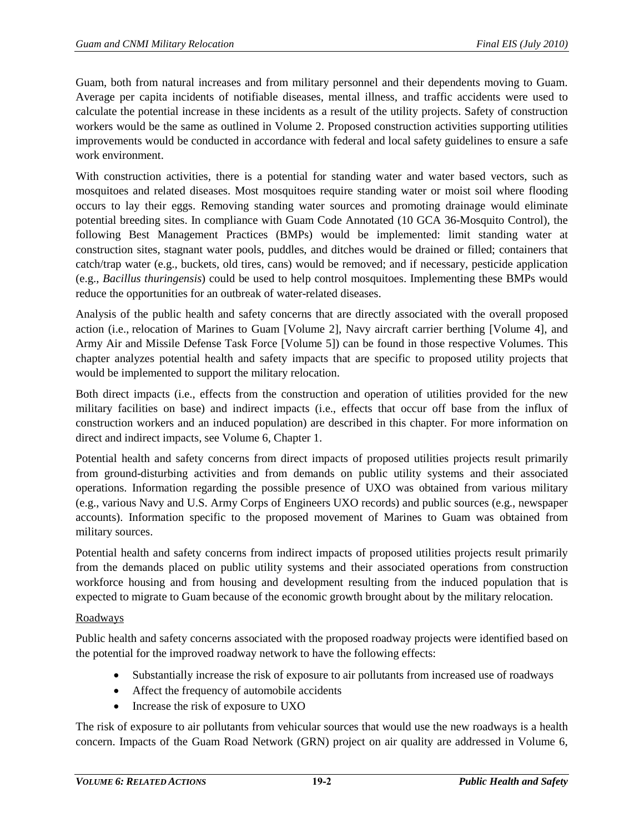Guam, both from natural increases and from military personnel and their dependents moving to Guam. Average per capita incidents of notifiable diseases, mental illness, and traffic accidents were used to calculate the potential increase in these incidents as a result of the utility projects. Safety of construction workers would be the same as outlined in Volume 2. Proposed construction activities supporting utilities improvements would be conducted in accordance with federal and local safety guidelines to ensure a safe work environment.

With construction activities, there is a potential for standing water and water based vectors, such as mosquitoes and related diseases. Most mosquitoes require standing water or moist soil where flooding occurs to lay their eggs. Removing standing water sources and promoting drainage would eliminate potential breeding sites. In compliance with Guam Code Annotated (10 GCA 36-Mosquito Control), the following Best Management Practices (BMPs) would be implemented: limit standing water at construction sites, stagnant water pools, puddles, and ditches would be drained or filled; containers that catch/trap water (e.g., buckets, old tires, cans) would be removed; and if necessary, pesticide application (e.g., *Bacillus thuringensis*) could be used to help control mosquitoes. Implementing these BMPs would reduce the opportunities for an outbreak of water-related diseases.

Analysis of the public health and safety concerns that are directly associated with the overall proposed action (i.e., relocation of Marines to Guam [Volume 2], Navy aircraft carrier berthing [Volume 4], and Army Air and Missile Defense Task Force [Volume 5]) can be found in those respective Volumes. This chapter analyzes potential health and safety impacts that are specific to proposed utility projects that would be implemented to support the military relocation.

Both direct impacts (i.e., effects from the construction and operation of utilities provided for the new military facilities on base) and indirect impacts (i.e., effects that occur off base from the influx of construction workers and an induced population) are described in this chapter. For more information on direct and indirect impacts, see Volume 6, Chapter 1.

Potential health and safety concerns from direct impacts of proposed utilities projects result primarily from ground-disturbing activities and from demands on public utility systems and their associated operations. Information regarding the possible presence of UXO was obtained from various military (e.g., various Navy and U.S. Army Corps of Engineers UXO records) and public sources (e.g., newspaper accounts). Information specific to the proposed movement of Marines to Guam was obtained from military sources.

Potential health and safety concerns from indirect impacts of proposed utilities projects result primarily from the demands placed on public utility systems and their associated operations from construction workforce housing and from housing and development resulting from the induced population that is expected to migrate to Guam because of the economic growth brought about by the military relocation.

#### Roadways

Public health and safety concerns associated with the proposed roadway projects were identified based on the potential for the improved roadway network to have the following effects:

- Substantially increase the risk of exposure to air pollutants from increased use of roadways
- Affect the frequency of automobile accidents
- Increase the risk of exposure to UXO

The risk of exposure to air pollutants from vehicular sources that would use the new roadways is a health concern. Impacts of the Guam Road Network (GRN) project on air quality are addressed in Volume 6,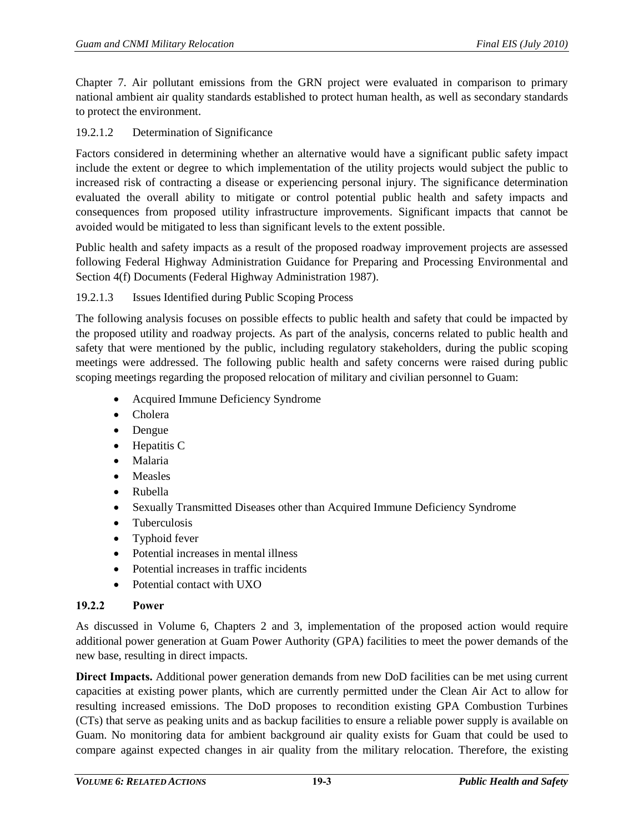Chapter 7. Air pollutant emissions from the GRN project were evaluated in comparison to primary national ambient air quality standards established to protect human health, as well as secondary standards to protect the environment.

## 19.2.1.2 Determination of Significance

Factors considered in determining whether an alternative would have a significant public safety impact include the extent or degree to which implementation of the utility projects would subject the public to increased risk of contracting a disease or experiencing personal injury. The significance determination evaluated the overall ability to mitigate or control potential public health and safety impacts and consequences from proposed utility infrastructure improvements. Significant impacts that cannot be avoided would be mitigated to less than significant levels to the extent possible.

Public health and safety impacts as a result of the proposed roadway improvement projects are assessed following Federal Highway Administration Guidance for Preparing and Processing Environmental and Section 4(f) Documents (Federal Highway Administration 1987).

#### 19.2.1.3 Issues Identified during Public Scoping Process

The following analysis focuses on possible effects to public health and safety that could be impacted by the proposed utility and roadway projects. As part of the analysis, concerns related to public health and safety that were mentioned by the public, including regulatory stakeholders, during the public scoping meetings were addressed. The following public health and safety concerns were raised during public scoping meetings regarding the proposed relocation of military and civilian personnel to Guam:

- Acquired Immune Deficiency Syndrome
- Cholera
- Dengue
- Hepatitis C
- Malaria
- Measles
- Rubella
- Sexually Transmitted Diseases other than Acquired Immune Deficiency Syndrome
- Tuberculosis
- Typhoid fever
- Potential increases in mental illness
- Potential increases in traffic incidents
- Potential contact with UXO

# **19.2.2 Power**

As discussed in Volume 6, Chapters 2 and 3, implementation of the proposed action would require additional power generation at Guam Power Authority (GPA) facilities to meet the power demands of the new base, resulting in direct impacts.

**Direct Impacts.** Additional power generation demands from new DoD facilities can be met using current capacities at existing power plants, which are currently permitted under the Clean Air Act to allow for resulting increased emissions. The DoD proposes to recondition existing GPA Combustion Turbines (CTs) that serve as peaking units and as backup facilities to ensure a reliable power supply is available on Guam. No monitoring data for ambient background air quality exists for Guam that could be used to compare against expected changes in air quality from the military relocation. Therefore, the existing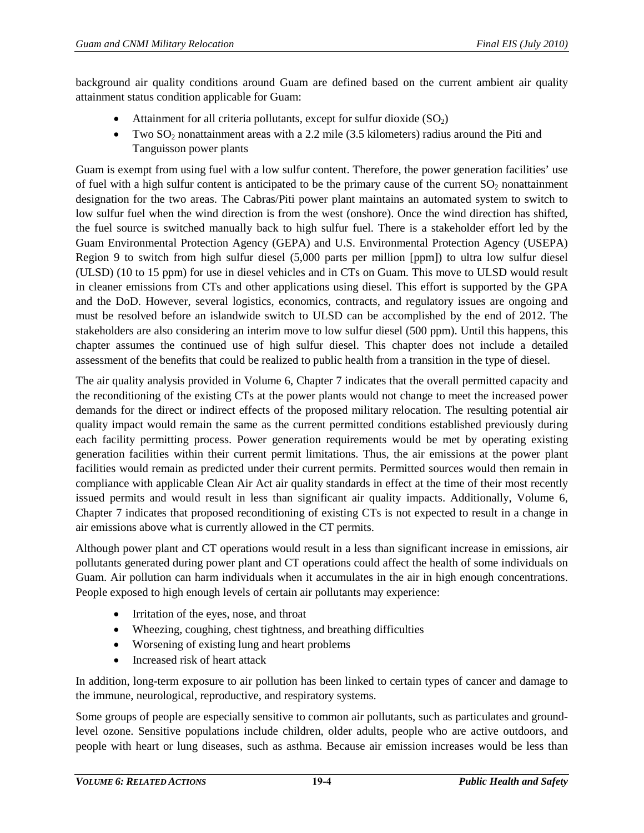background air quality conditions around Guam are defined based on the current ambient air quality attainment status condition applicable for Guam:

- Attainment for all criteria pollutants, except for sulfur dioxide  $(SO<sub>2</sub>)$
- Two  $SO_2$  nonattainment areas with a 2.2 mile (3.5 kilometers) radius around the Piti and Tanguisson power plants

Guam is exempt from using fuel with a low sulfur content. Therefore, the power generation facilities' use of fuel with a high sulfur content is anticipated to be the primary cause of the current  $SO<sub>2</sub>$  nonattainment designation for the two areas. The Cabras/Piti power plant maintains an automated system to switch to low sulfur fuel when the wind direction is from the west (onshore). Once the wind direction has shifted, the fuel source is switched manually back to high sulfur fuel. There is a stakeholder effort led by the Guam Environmental Protection Agency (GEPA) and U.S. Environmental Protection Agency (USEPA) Region 9 to switch from high sulfur diesel (5,000 parts per million [ppm]) to ultra low sulfur diesel (ULSD) (10 to 15 ppm) for use in diesel vehicles and in CTs on Guam. This move to ULSD would result in cleaner emissions from CTs and other applications using diesel. This effort is supported by the GPA and the DoD. However, several logistics, economics, contracts, and regulatory issues are ongoing and must be resolved before an islandwide switch to ULSD can be accomplished by the end of 2012. The stakeholders are also considering an interim move to low sulfur diesel (500 ppm). Until this happens, this chapter assumes the continued use of high sulfur diesel. This chapter does not include a detailed assessment of the benefits that could be realized to public health from a transition in the type of diesel.

The air quality analysis provided in Volume 6, Chapter 7 indicates that the overall permitted capacity and the reconditioning of the existing CTs at the power plants would not change to meet the increased power demands for the direct or indirect effects of the proposed military relocation. The resulting potential air quality impact would remain the same as the current permitted conditions established previously during each facility permitting process. Power generation requirements would be met by operating existing generation facilities within their current permit limitations. Thus, the air emissions at the power plant facilities would remain as predicted under their current permits. Permitted sources would then remain in compliance with applicable Clean Air Act air quality standards in effect at the time of their most recently issued permits and would result in less than significant air quality impacts. Additionally, Volume 6, Chapter 7 indicates that proposed reconditioning of existing CTs is not expected to result in a change in air emissions above what is currently allowed in the CT permits.

Although power plant and CT operations would result in a less than significant increase in emissions, air pollutants generated during power plant and CT operations could affect the health of some individuals on Guam. Air pollution can harm individuals when it accumulates in the air in high enough concentrations. People exposed to high enough levels of certain air pollutants may experience:

- Irritation of the eyes, nose, and throat
- Wheezing, coughing, chest tightness, and breathing difficulties
- Worsening of existing lung and heart problems
- Increased risk of heart attack

In addition, long-term exposure to air pollution has been linked to certain types of cancer and damage to the immune, neurological, reproductive, and respiratory systems.

Some groups of people are especially sensitive to common air pollutants, such as particulates and groundlevel ozone. Sensitive populations include children, older adults, people who are active outdoors, and people with heart or lung diseases, such as asthma. Because air emission increases would be less than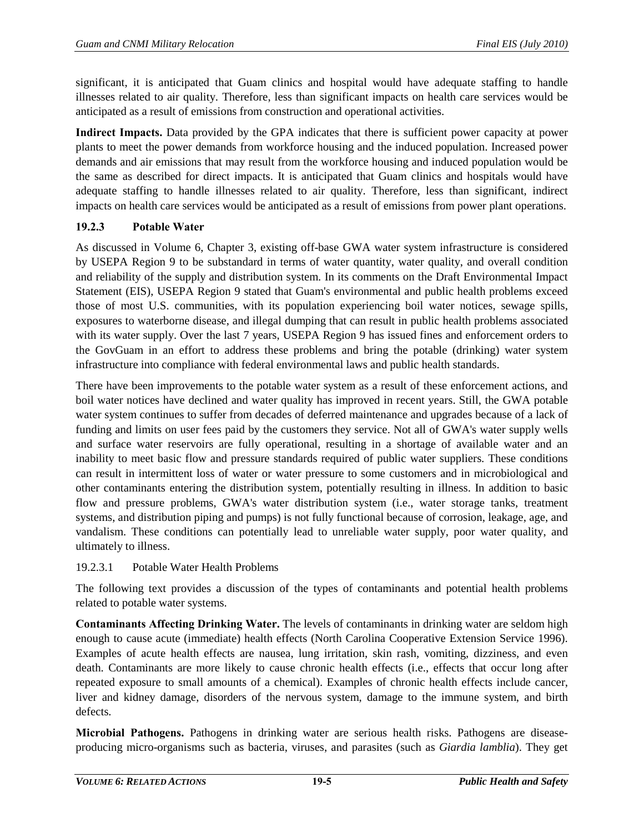significant, it is anticipated that Guam clinics and hospital would have adequate staffing to handle illnesses related to air quality. Therefore, less than significant impacts on health care services would be anticipated as a result of emissions from construction and operational activities.

**Indirect Impacts.** Data provided by the GPA indicates that there is sufficient power capacity at power plants to meet the power demands from workforce housing and the induced population. Increased power demands and air emissions that may result from the workforce housing and induced population would be the same as described for direct impacts. It is anticipated that Guam clinics and hospitals would have adequate staffing to handle illnesses related to air quality. Therefore, less than significant, indirect impacts on health care services would be anticipated as a result of emissions from power plant operations.

# **19.2.3 Potable Water**

As discussed in Volume 6, Chapter 3, existing off-base GWA water system infrastructure is considered by USEPA Region 9 to be substandard in terms of water quantity, water quality, and overall condition and reliability of the supply and distribution system. In its comments on the Draft Environmental Impact Statement (EIS), USEPA Region 9 stated that Guam's environmental and public health problems exceed those of most U.S. communities, with its population experiencing boil water notices, sewage spills, exposures to waterborne disease, and illegal dumping that can result in public health problems associated with its water supply. Over the last 7 years, USEPA Region 9 has issued fines and enforcement orders to the GovGuam in an effort to address these problems and bring the potable (drinking) water system infrastructure into compliance with federal environmental laws and public health standards.

There have been improvements to the potable water system as a result of these enforcement actions, and boil water notices have declined and water quality has improved in recent years. Still, the GWA potable water system continues to suffer from decades of deferred maintenance and upgrades because of a lack of funding and limits on user fees paid by the customers they service. Not all of GWA's water supply wells and surface water reservoirs are fully operational, resulting in a shortage of available water and an inability to meet basic flow and pressure standards required of public water suppliers. These conditions can result in intermittent loss of water or water pressure to some customers and in microbiological and other contaminants entering the distribution system, potentially resulting in illness. In addition to basic flow and pressure problems, GWA's water distribution system (i.e., water storage tanks, treatment systems, and distribution piping and pumps) is not fully functional because of corrosion, leakage, age, and vandalism. These conditions can potentially lead to unreliable water supply, poor water quality, and ultimately to illness.

# 19.2.3.1 Potable Water Health Problems

The following text provides a discussion of the types of contaminants and potential health problems related to potable water systems.

**Contaminants Affecting Drinking Water.** The levels of contaminants in drinking water are seldom high enough to cause acute (immediate) health effects (North Carolina Cooperative Extension Service 1996). Examples of acute health effects are nausea, lung irritation, skin rash, vomiting, dizziness, and even death. Contaminants are more likely to cause chronic health effects (i.e., effects that occur long after repeated exposure to small amounts of a chemical). Examples of chronic health effects include cancer, liver and kidney damage, disorders of the nervous system, damage to the immune system, and birth defects.

**Microbial Pathogens.** Pathogens in drinking water are serious health risks. Pathogens are diseaseproducing micro-organisms such as bacteria, viruses, and parasites (such as *Giardia lamblia*). They get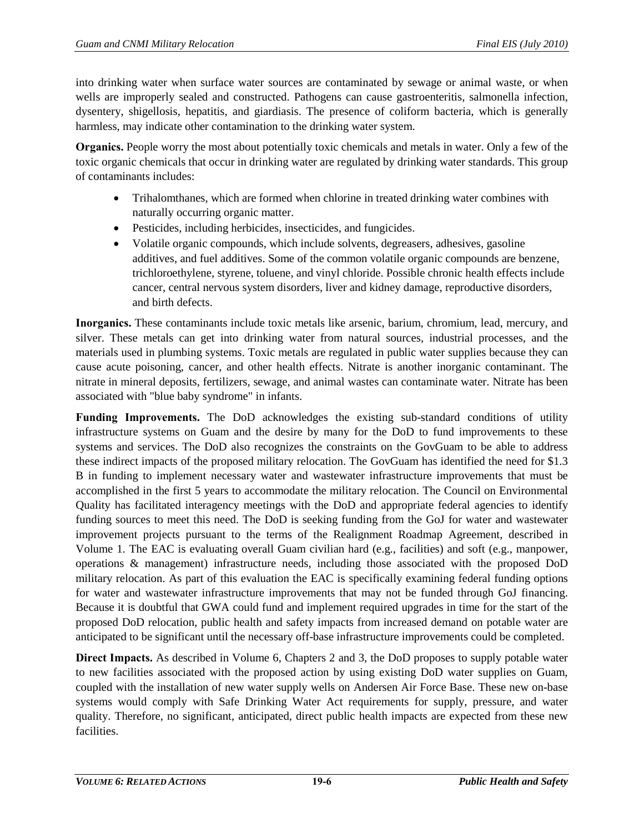into drinking water when surface water sources are contaminated by sewage or animal waste, or when wells are improperly sealed and constructed. Pathogens can cause gastroenteritis, salmonella infection, dysentery, shigellosis, hepatitis, and giardiasis. The presence of coliform bacteria, which is generally harmless, may indicate other contamination to the drinking water system.

**Organics.** People worry the most about potentially toxic chemicals and metals in water. Only a few of the toxic organic chemicals that occur in drinking water are regulated by drinking water standards. This group of contaminants includes:

- Trihalomthanes, which are formed when chlorine in treated drinking water combines with naturally occurring organic matter.
- Pesticides, including herbicides, insecticides, and fungicides.
- Volatile organic compounds, which include solvents, degreasers, adhesives, gasoline additives, and fuel additives. Some of the common volatile organic compounds are benzene, trichloroethylene, styrene, toluene, and vinyl chloride. Possible chronic health effects include cancer, central nervous system disorders, liver and kidney damage, reproductive disorders, and birth defects.

**Inorganics.** These contaminants include toxic metals like arsenic, barium, chromium, lead, mercury, and silver. These metals can get into drinking water from natural sources, industrial processes, and the materials used in plumbing systems. Toxic metals are regulated in public water supplies because they can cause acute poisoning, cancer, and other health effects. Nitrate is another inorganic contaminant. The nitrate in mineral deposits, fertilizers, sewage, and animal wastes can contaminate water. Nitrate has been associated with "blue baby syndrome" in infants.

**Funding Improvements.** The DoD acknowledges the existing sub-standard conditions of utility infrastructure systems on Guam and the desire by many for the DoD to fund improvements to these systems and services. The DoD also recognizes the constraints on the GovGuam to be able to address these indirect impacts of the proposed military relocation. The GovGuam has identified the need for \$1.3 B in funding to implement necessary water and wastewater infrastructure improvements that must be accomplished in the first 5 years to accommodate the military relocation. The Council on Environmental Quality has facilitated interagency meetings with the DoD and appropriate federal agencies to identify funding sources to meet this need. The DoD is seeking funding from the GoJ for water and wastewater improvement projects pursuant to the terms of the Realignment Roadmap Agreement, described in Volume 1. The EAC is evaluating overall Guam civilian hard (e.g., facilities) and soft (e.g., manpower, operations & management) infrastructure needs, including those associated with the proposed DoD military relocation. As part of this evaluation the EAC is specifically examining federal funding options for water and wastewater infrastructure improvements that may not be funded through GoJ financing. Because it is doubtful that GWA could fund and implement required upgrades in time for the start of the proposed DoD relocation, public health and safety impacts from increased demand on potable water are anticipated to be significant until the necessary off-base infrastructure improvements could be completed.

**Direct Impacts.** As described in Volume 6, Chapters 2 and 3, the DoD proposes to supply potable water to new facilities associated with the proposed action by using existing DoD water supplies on Guam, coupled with the installation of new water supply wells on Andersen Air Force Base. These new on-base systems would comply with Safe Drinking Water Act requirements for supply, pressure, and water quality. Therefore, no significant, anticipated, direct public health impacts are expected from these new facilities.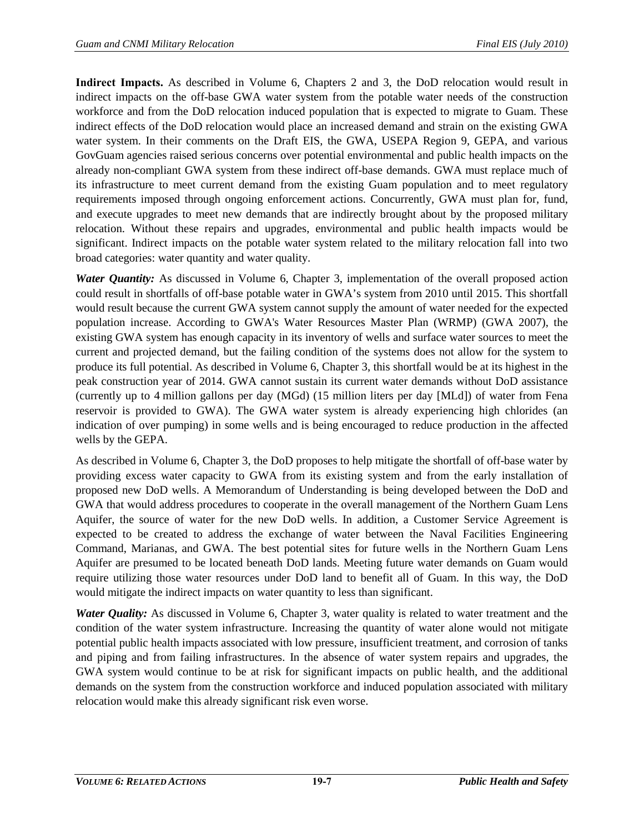**Indirect Impacts.** As described in Volume 6, Chapters 2 and 3, the DoD relocation would result in indirect impacts on the off-base GWA water system from the potable water needs of the construction workforce and from the DoD relocation induced population that is expected to migrate to Guam. These indirect effects of the DoD relocation would place an increased demand and strain on the existing GWA water system. In their comments on the Draft EIS, the GWA, USEPA Region 9, GEPA, and various GovGuam agencies raised serious concerns over potential environmental and public health impacts on the already non-compliant GWA system from these indirect off-base demands. GWA must replace much of its infrastructure to meet current demand from the existing Guam population and to meet regulatory requirements imposed through ongoing enforcement actions. Concurrently, GWA must plan for, fund, and execute upgrades to meet new demands that are indirectly brought about by the proposed military relocation. Without these repairs and upgrades, environmental and public health impacts would be significant. Indirect impacts on the potable water system related to the military relocation fall into two broad categories: water quantity and water quality.

*Water Quantity:* As discussed in Volume 6, Chapter 3, implementation of the overall proposed action could result in shortfalls of off-base potable water in GWA's system from 2010 until 2015. This shortfall would result because the current GWA system cannot supply the amount of water needed for the expected population increase. According to GWA's Water Resources Master Plan (WRMP) (GWA 2007), the existing GWA system has enough capacity in its inventory of wells and surface water sources to meet the current and projected demand, but the failing condition of the systems does not allow for the system to produce its full potential. As described in Volume 6, Chapter 3, this shortfall would be at its highest in the peak construction year of 2014. GWA cannot sustain its current water demands without DoD assistance (currently up to 4 million gallons per day (MGd) (15 million liters per day [MLd]) of water from Fena reservoir is provided to GWA). The GWA water system is already experiencing high chlorides (an indication of over pumping) in some wells and is being encouraged to reduce production in the affected wells by the GEPA.

As described in Volume 6, Chapter 3, the DoD proposes to help mitigate the shortfall of off-base water by providing excess water capacity to GWA from its existing system and from the early installation of proposed new DoD wells. A Memorandum of Understanding is being developed between the DoD and GWA that would address procedures to cooperate in the overall management of the Northern Guam Lens Aquifer, the source of water for the new DoD wells. In addition, a Customer Service Agreement is expected to be created to address the exchange of water between the Naval Facilities Engineering Command, Marianas, and GWA. The best potential sites for future wells in the Northern Guam Lens Aquifer are presumed to be located beneath DoD lands. Meeting future water demands on Guam would require utilizing those water resources under DoD land to benefit all of Guam. In this way, the DoD would mitigate the indirect impacts on water quantity to less than significant.

*Water Quality:* As discussed in Volume 6, Chapter 3, water quality is related to water treatment and the condition of the water system infrastructure. Increasing the quantity of water alone would not mitigate potential public health impacts associated with low pressure, insufficient treatment, and corrosion of tanks and piping and from failing infrastructures. In the absence of water system repairs and upgrades, the GWA system would continue to be at risk for significant impacts on public health, and the additional demands on the system from the construction workforce and induced population associated with military relocation would make this already significant risk even worse.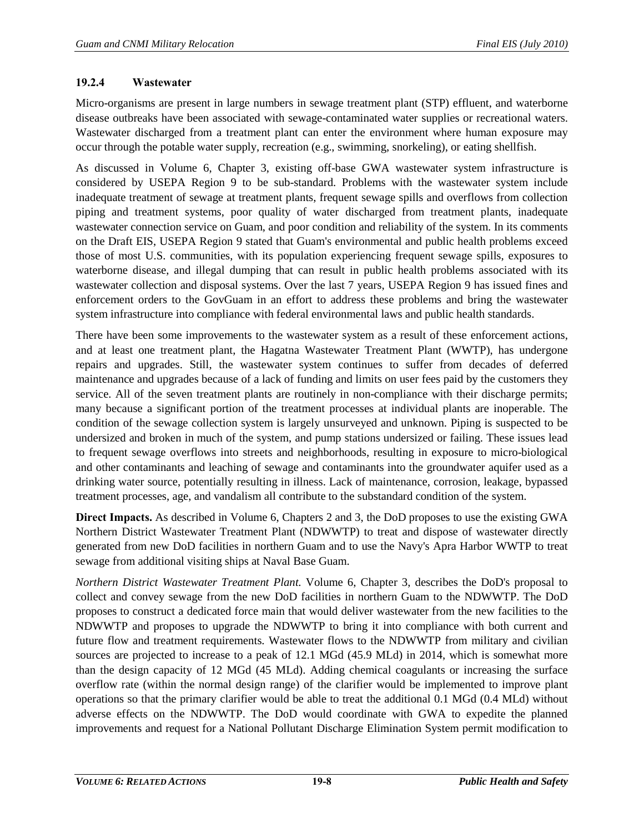#### **19.2.4 Wastewater**

Micro-organisms are present in large numbers in sewage treatment plant (STP) effluent, and waterborne disease outbreaks have been associated with sewage-contaminated water supplies or recreational waters. Wastewater discharged from a treatment plant can enter the environment where human exposure may occur through the potable water supply, recreation (e.g., swimming, snorkeling), or eating shellfish.

As discussed in Volume 6, Chapter 3, existing off-base GWA wastewater system infrastructure is considered by USEPA Region 9 to be sub-standard. Problems with the wastewater system include inadequate treatment of sewage at treatment plants, frequent sewage spills and overflows from collection piping and treatment systems, poor quality of water discharged from treatment plants, inadequate wastewater connection service on Guam, and poor condition and reliability of the system. In its comments on the Draft EIS, USEPA Region 9 stated that Guam's environmental and public health problems exceed those of most U.S. communities, with its population experiencing frequent sewage spills, exposures to waterborne disease, and illegal dumping that can result in public health problems associated with its wastewater collection and disposal systems. Over the last 7 years, USEPA Region 9 has issued fines and enforcement orders to the GovGuam in an effort to address these problems and bring the wastewater system infrastructure into compliance with federal environmental laws and public health standards.

There have been some improvements to the wastewater system as a result of these enforcement actions, and at least one treatment plant, the Hagatna Wastewater Treatment Plant (WWTP), has undergone repairs and upgrades. Still, the wastewater system continues to suffer from decades of deferred maintenance and upgrades because of a lack of funding and limits on user fees paid by the customers they service. All of the seven treatment plants are routinely in non-compliance with their discharge permits; many because a significant portion of the treatment processes at individual plants are inoperable. The condition of the sewage collection system is largely unsurveyed and unknown. Piping is suspected to be undersized and broken in much of the system, and pump stations undersized or failing. These issues lead to frequent sewage overflows into streets and neighborhoods, resulting in exposure to micro-biological and other contaminants and leaching of sewage and contaminants into the groundwater aquifer used as a drinking water source, potentially resulting in illness. Lack of maintenance, corrosion, leakage, bypassed treatment processes, age, and vandalism all contribute to the substandard condition of the system.

**Direct Impacts.** As described in Volume 6, Chapters 2 and 3, the DoD proposes to use the existing GWA Northern District Wastewater Treatment Plant (NDWWTP) to treat and dispose of wastewater directly generated from new DoD facilities in northern Guam and to use the Navy's Apra Harbor WWTP to treat sewage from additional visiting ships at Naval Base Guam.

*Northern District Wastewater Treatment Plant.* Volume 6, Chapter 3, describes the DoD's proposal to collect and convey sewage from the new DoD facilities in northern Guam to the NDWWTP. The DoD proposes to construct a dedicated force main that would deliver wastewater from the new facilities to the NDWWTP and proposes to upgrade the NDWWTP to bring it into compliance with both current and future flow and treatment requirements. Wastewater flows to the NDWWTP from military and civilian sources are projected to increase to a peak of 12.1 MGd (45.9 MLd) in 2014, which is somewhat more than the design capacity of 12 MGd (45 MLd). Adding chemical coagulants or increasing the surface overflow rate (within the normal design range) of the clarifier would be implemented to improve plant operations so that the primary clarifier would be able to treat the additional 0.1 MGd (0.4 MLd) without adverse effects on the NDWWTP. The DoD would coordinate with GWA to expedite the planned improvements and request for a National Pollutant Discharge Elimination System permit modification to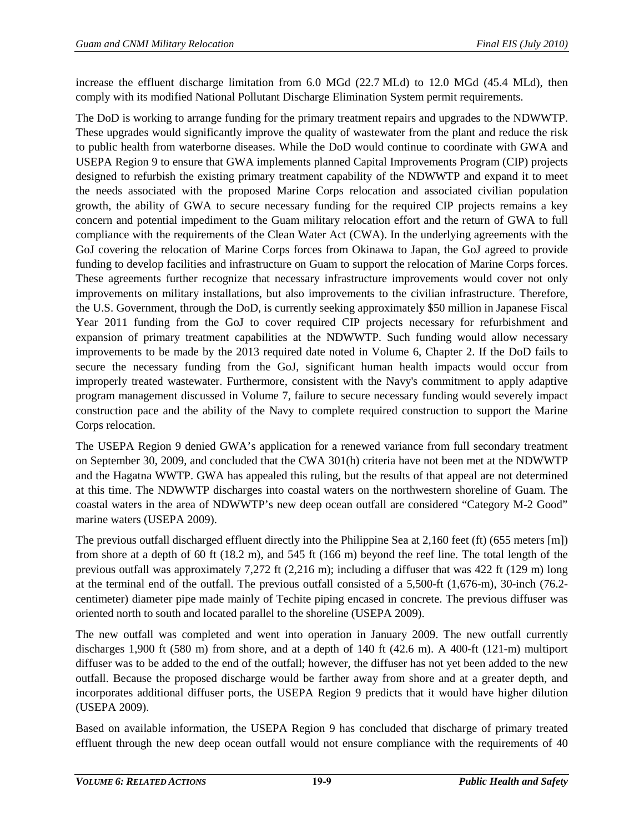increase the effluent discharge limitation from 6.0 MGd (22.7 MLd) to 12.0 MGd (45.4 MLd), then comply with its modified National Pollutant Discharge Elimination System permit requirements.

The DoD is working to arrange funding for the primary treatment repairs and upgrades to the NDWWTP. These upgrades would significantly improve the quality of wastewater from the plant and reduce the risk to public health from waterborne diseases. While the DoD would continue to coordinate with GWA and USEPA Region 9 to ensure that GWA implements planned Capital Improvements Program (CIP) projects designed to refurbish the existing primary treatment capability of the NDWWTP and expand it to meet the needs associated with the proposed Marine Corps relocation and associated civilian population growth, the ability of GWA to secure necessary funding for the required CIP projects remains a key concern and potential impediment to the Guam military relocation effort and the return of GWA to full compliance with the requirements of the Clean Water Act (CWA). In the underlying agreements with the GoJ covering the relocation of Marine Corps forces from Okinawa to Japan, the GoJ agreed to provide funding to develop facilities and infrastructure on Guam to support the relocation of Marine Corps forces. These agreements further recognize that necessary infrastructure improvements would cover not only improvements on military installations, but also improvements to the civilian infrastructure. Therefore, the U.S. Government, through the DoD, is currently seeking approximately \$50 million in Japanese Fiscal Year 2011 funding from the GoJ to cover required CIP projects necessary for refurbishment and expansion of primary treatment capabilities at the NDWWTP. Such funding would allow necessary improvements to be made by the 2013 required date noted in Volume 6, Chapter 2. If the DoD fails to secure the necessary funding from the GoJ, significant human health impacts would occur from improperly treated wastewater. Furthermore, consistent with the Navy's commitment to apply adaptive program management discussed in Volume 7, failure to secure necessary funding would severely impact construction pace and the ability of the Navy to complete required construction to support the Marine Corps relocation.

The USEPA Region 9 denied GWA's application for a renewed variance from full secondary treatment on September 30, 2009, and concluded that the CWA 301(h) criteria have not been met at the NDWWTP and the Hagatna WWTP. GWA has appealed this ruling, but the results of that appeal are not determined at this time. The NDWWTP discharges into coastal waters on the northwestern shoreline of Guam. The coastal waters in the area of NDWWTP's new deep ocean outfall are considered "Category M-2 Good" marine waters (USEPA 2009).

The previous outfall discharged effluent directly into the Philippine Sea at 2,160 feet (ft) (655 meters [m]) from shore at a depth of 60 ft (18.2 m), and 545 ft (166 m) beyond the reef line. The total length of the previous outfall was approximately 7,272 ft (2,216 m); including a diffuser that was 422 ft (129 m) long at the terminal end of the outfall. The previous outfall consisted of a 5,500-ft (1,676-m), 30-inch (76.2 centimeter) diameter pipe made mainly of Techite piping encased in concrete. The previous diffuser was oriented north to south and located parallel to the shoreline (USEPA 2009).

The new outfall was completed and went into operation in January 2009. The new outfall currently discharges 1,900 ft (580 m) from shore, and at a depth of 140 ft (42.6 m). A 400-ft (121-m) multiport diffuser was to be added to the end of the outfall; however, the diffuser has not yet been added to the new outfall. Because the proposed discharge would be farther away from shore and at a greater depth, and incorporates additional diffuser ports, the USEPA Region 9 predicts that it would have higher dilution (USEPA 2009).

Based on available information, the USEPA Region 9 has concluded that discharge of primary treated effluent through the new deep ocean outfall would not ensure compliance with the requirements of 40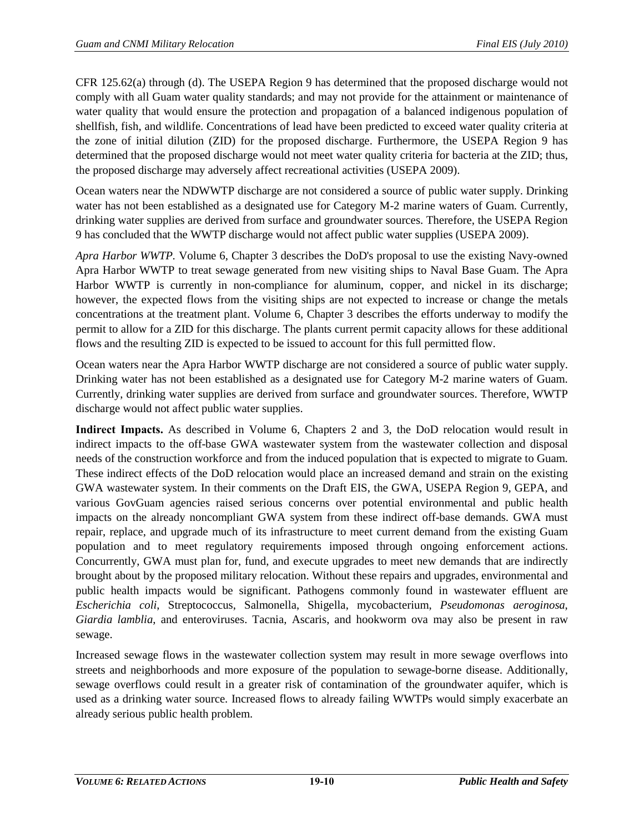CFR 125.62(a) through (d). The USEPA Region 9 has determined that the proposed discharge would not comply with all Guam water quality standards; and may not provide for the attainment or maintenance of water quality that would ensure the protection and propagation of a balanced indigenous population of shellfish, fish, and wildlife. Concentrations of lead have been predicted to exceed water quality criteria at the zone of initial dilution (ZID) for the proposed discharge. Furthermore, the USEPA Region 9 has determined that the proposed discharge would not meet water quality criteria for bacteria at the ZID; thus, the proposed discharge may adversely affect recreational activities (USEPA 2009).

Ocean waters near the NDWWTP discharge are not considered a source of public water supply. Drinking water has not been established as a designated use for Category M-2 marine waters of Guam. Currently, drinking water supplies are derived from surface and groundwater sources. Therefore, the USEPA Region 9 has concluded that the WWTP discharge would not affect public water supplies (USEPA 2009).

*Apra Harbor WWTP.* Volume 6, Chapter 3 describes the DoD's proposal to use the existing Navy-owned Apra Harbor WWTP to treat sewage generated from new visiting ships to Naval Base Guam. The Apra Harbor WWTP is currently in non-compliance for aluminum, copper, and nickel in its discharge; however, the expected flows from the visiting ships are not expected to increase or change the metals concentrations at the treatment plant. Volume 6, Chapter 3 describes the efforts underway to modify the permit to allow for a ZID for this discharge. The plants current permit capacity allows for these additional flows and the resulting ZID is expected to be issued to account for this full permitted flow.

Ocean waters near the Apra Harbor WWTP discharge are not considered a source of public water supply. Drinking water has not been established as a designated use for Category M-2 marine waters of Guam. Currently, drinking water supplies are derived from surface and groundwater sources. Therefore, WWTP discharge would not affect public water supplies.

**Indirect Impacts.** As described in Volume 6, Chapters 2 and 3, the DoD relocation would result in indirect impacts to the off-base GWA wastewater system from the wastewater collection and disposal needs of the construction workforce and from the induced population that is expected to migrate to Guam. These indirect effects of the DoD relocation would place an increased demand and strain on the existing GWA wastewater system. In their comments on the Draft EIS, the GWA, USEPA Region 9, GEPA, and various GovGuam agencies raised serious concerns over potential environmental and public health impacts on the already noncompliant GWA system from these indirect off-base demands. GWA must repair, replace, and upgrade much of its infrastructure to meet current demand from the existing Guam population and to meet regulatory requirements imposed through ongoing enforcement actions. Concurrently, GWA must plan for, fund, and execute upgrades to meet new demands that are indirectly brought about by the proposed military relocation. Without these repairs and upgrades, environmental and public health impacts would be significant. Pathogens commonly found in wastewater effluent are *Escherichia coli*, Streptococcus, Salmonella, Shigella, mycobacterium, *Pseudomonas aeroginosa*, *Giardia lamblia*, and enteroviruses. Tacnia, Ascaris, and hookworm ova may also be present in raw sewage.

Increased sewage flows in the wastewater collection system may result in more sewage overflows into streets and neighborhoods and more exposure of the population to sewage-borne disease. Additionally, sewage overflows could result in a greater risk of contamination of the groundwater aquifer, which is used as a drinking water source. Increased flows to already failing WWTPs would simply exacerbate an already serious public health problem.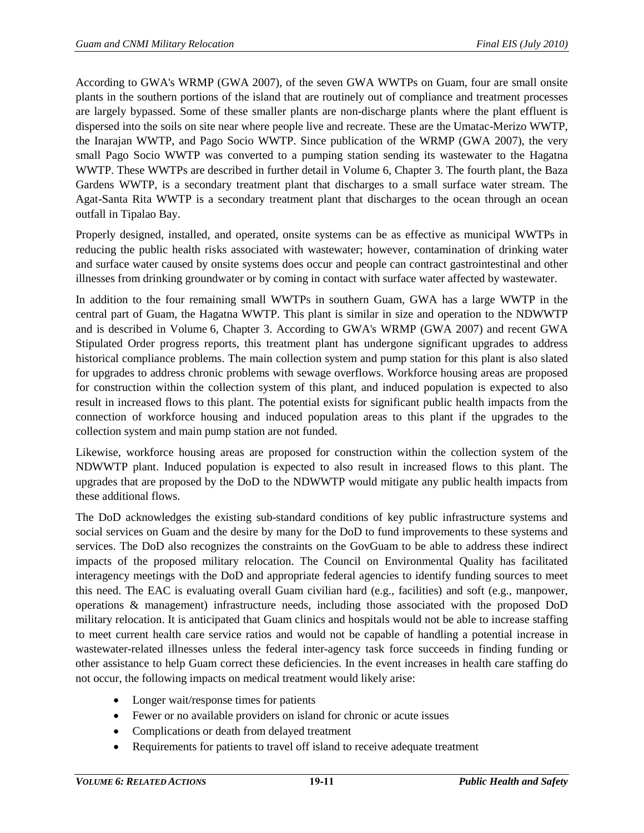According to GWA's WRMP (GWA 2007), of the seven GWA WWTPs on Guam, four are small onsite plants in the southern portions of the island that are routinely out of compliance and treatment processes are largely bypassed. Some of these smaller plants are non-discharge plants where the plant effluent is dispersed into the soils on site near where people live and recreate. These are the Umatac-Merizo WWTP, the Inarajan WWTP, and Pago Socio WWTP. Since publication of the WRMP (GWA 2007), the very small Pago Socio WWTP was converted to a pumping station sending its wastewater to the Hagatna WWTP. These WWTPs are described in further detail in Volume 6, Chapter 3. The fourth plant, the Baza Gardens WWTP, is a secondary treatment plant that discharges to a small surface water stream. The Agat-Santa Rita WWTP is a secondary treatment plant that discharges to the ocean through an ocean outfall in Tipalao Bay.

Properly designed, installed, and operated, onsite systems can be as effective as municipal WWTPs in reducing the public health risks associated with wastewater; however, contamination of drinking water and surface water caused by onsite systems does occur and people can contract gastrointestinal and other illnesses from drinking groundwater or by coming in contact with surface water affected by wastewater.

In addition to the four remaining small WWTPs in southern Guam, GWA has a large WWTP in the central part of Guam, the Hagatna WWTP. This plant is similar in size and operation to the NDWWTP and is described in Volume 6, Chapter 3. According to GWA's WRMP (GWA 2007) and recent GWA Stipulated Order progress reports, this treatment plant has undergone significant upgrades to address historical compliance problems. The main collection system and pump station for this plant is also slated for upgrades to address chronic problems with sewage overflows. Workforce housing areas are proposed for construction within the collection system of this plant, and induced population is expected to also result in increased flows to this plant. The potential exists for significant public health impacts from the connection of workforce housing and induced population areas to this plant if the upgrades to the collection system and main pump station are not funded.

Likewise, workforce housing areas are proposed for construction within the collection system of the NDWWTP plant. Induced population is expected to also result in increased flows to this plant. The upgrades that are proposed by the DoD to the NDWWTP would mitigate any public health impacts from these additional flows.

The DoD acknowledges the existing sub-standard conditions of key public infrastructure systems and social services on Guam and the desire by many for the DoD to fund improvements to these systems and services. The DoD also recognizes the constraints on the GovGuam to be able to address these indirect impacts of the proposed military relocation. The Council on Environmental Quality has facilitated interagency meetings with the DoD and appropriate federal agencies to identify funding sources to meet this need. The EAC is evaluating overall Guam civilian hard (e.g., facilities) and soft (e.g., manpower, operations & management) infrastructure needs, including those associated with the proposed DoD military relocation. It is anticipated that Guam clinics and hospitals would not be able to increase staffing to meet current health care service ratios and would not be capable of handling a potential increase in wastewater-related illnesses unless the federal inter-agency task force succeeds in finding funding or other assistance to help Guam correct these deficiencies. In the event increases in health care staffing do not occur, the following impacts on medical treatment would likely arise:

- Longer wait/response times for patients
- Fewer or no available providers on island for chronic or acute issues
- Complications or death from delayed treatment
- Requirements for patients to travel off island to receive adequate treatment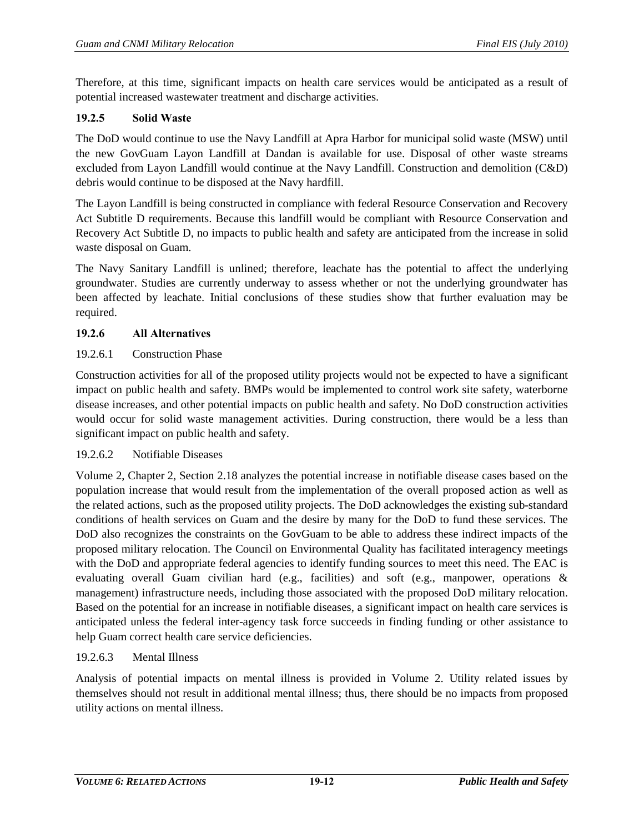Therefore, at this time, significant impacts on health care services would be anticipated as a result of potential increased wastewater treatment and discharge activities.

## **19.2.5 Solid Waste**

The DoD would continue to use the Navy Landfill at Apra Harbor for municipal solid waste (MSW) until the new GovGuam Layon Landfill at Dandan is available for use. Disposal of other waste streams excluded from Layon Landfill would continue at the Navy Landfill. Construction and demolition (C&D) debris would continue to be disposed at the Navy hardfill.

The Layon Landfill is being constructed in compliance with federal Resource Conservation and Recovery Act Subtitle D requirements. Because this landfill would be compliant with Resource Conservation and Recovery Act Subtitle D, no impacts to public health and safety are anticipated from the increase in solid waste disposal on Guam.

The Navy Sanitary Landfill is unlined; therefore, leachate has the potential to affect the underlying groundwater. Studies are currently underway to assess whether or not the underlying groundwater has been affected by leachate. Initial conclusions of these studies show that further evaluation may be required.

#### **19.2.6 All Alternatives**

#### 19.2.6.1 Construction Phase

Construction activities for all of the proposed utility projects would not be expected to have a significant impact on public health and safety. BMPs would be implemented to control work site safety, waterborne disease increases, and other potential impacts on public health and safety. No DoD construction activities would occur for solid waste management activities. During construction, there would be a less than significant impact on public health and safety.

#### 19.2.6.2 Notifiable Diseases

Volume 2, Chapter 2, Section 2.18 analyzes the potential increase in notifiable disease cases based on the population increase that would result from the implementation of the overall proposed action as well as the related actions, such as the proposed utility projects. The DoD acknowledges the existing sub-standard conditions of health services on Guam and the desire by many for the DoD to fund these services. The DoD also recognizes the constraints on the GovGuam to be able to address these indirect impacts of the proposed military relocation. The Council on Environmental Quality has facilitated interagency meetings with the DoD and appropriate federal agencies to identify funding sources to meet this need. The EAC is evaluating overall Guam civilian hard (e.g., facilities) and soft (e.g., manpower, operations & management) infrastructure needs, including those associated with the proposed DoD military relocation. Based on the potential for an increase in notifiable diseases, a significant impact on health care services is anticipated unless the federal inter-agency task force succeeds in finding funding or other assistance to help Guam correct health care service deficiencies.

#### 19.2.6.3 Mental Illness

Analysis of potential impacts on mental illness is provided in Volume 2. Utility related issues by themselves should not result in additional mental illness; thus, there should be no impacts from proposed utility actions on mental illness.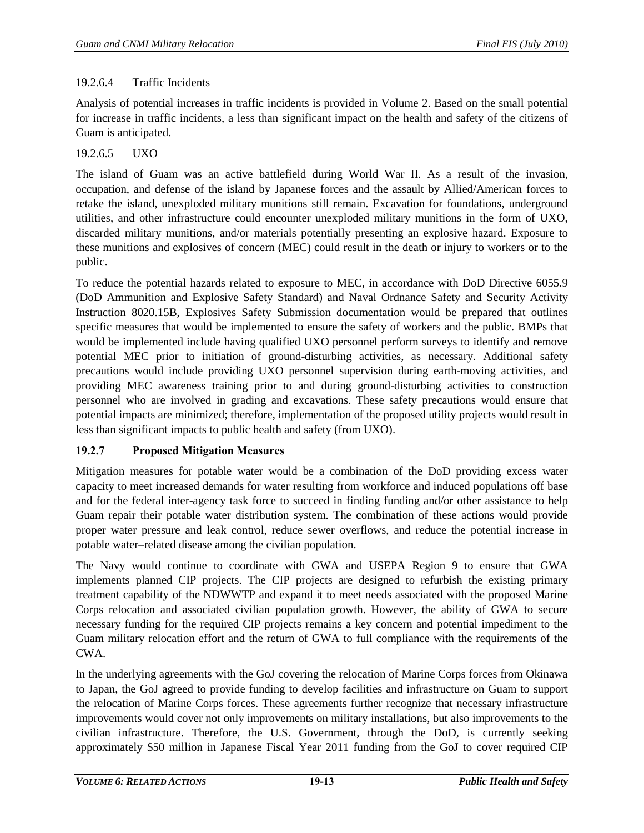## 19.2.6.4 Traffic Incidents

Analysis of potential increases in traffic incidents is provided in Volume 2. Based on the small potential for increase in traffic incidents, a less than significant impact on the health and safety of the citizens of Guam is anticipated.

## 19.2.6.5 UXO

The island of Guam was an active battlefield during World War II. As a result of the invasion, occupation, and defense of the island by Japanese forces and the assault by Allied/American forces to retake the island, unexploded military munitions still remain. Excavation for foundations, underground utilities, and other infrastructure could encounter unexploded military munitions in the form of UXO, discarded military munitions, and/or materials potentially presenting an explosive hazard. Exposure to these munitions and explosives of concern (MEC) could result in the death or injury to workers or to the public.

To reduce the potential hazards related to exposure to MEC, in accordance with DoD Directive 6055.9 (DoD Ammunition and Explosive Safety Standard) and Naval Ordnance Safety and Security Activity Instruction 8020.15B, Explosives Safety Submission documentation would be prepared that outlines specific measures that would be implemented to ensure the safety of workers and the public. BMPs that would be implemented include having qualified UXO personnel perform surveys to identify and remove potential MEC prior to initiation of ground-disturbing activities, as necessary. Additional safety precautions would include providing UXO personnel supervision during earth-moving activities, and providing MEC awareness training prior to and during ground-disturbing activities to construction personnel who are involved in grading and excavations. These safety precautions would ensure that potential impacts are minimized; therefore, implementation of the proposed utility projects would result in less than significant impacts to public health and safety (from UXO).

# **19.2.7 Proposed Mitigation Measures**

Mitigation measures for potable water would be a combination of the DoD providing excess water capacity to meet increased demands for water resulting from workforce and induced populations off base and for the federal inter-agency task force to succeed in finding funding and/or other assistance to help Guam repair their potable water distribution system. The combination of these actions would provide proper water pressure and leak control, reduce sewer overflows, and reduce the potential increase in potable water–related disease among the civilian population.

The Navy would continue to coordinate with GWA and USEPA Region 9 to ensure that GWA implements planned CIP projects. The CIP projects are designed to refurbish the existing primary treatment capability of the NDWWTP and expand it to meet needs associated with the proposed Marine Corps relocation and associated civilian population growth. However, the ability of GWA to secure necessary funding for the required CIP projects remains a key concern and potential impediment to the Guam military relocation effort and the return of GWA to full compliance with the requirements of the CWA.

In the underlying agreements with the GoJ covering the relocation of Marine Corps forces from Okinawa to Japan, the GoJ agreed to provide funding to develop facilities and infrastructure on Guam to support the relocation of Marine Corps forces. These agreements further recognize that necessary infrastructure improvements would cover not only improvements on military installations, but also improvements to the civilian infrastructure. Therefore, the U.S. Government, through the DoD, is currently seeking approximately \$50 million in Japanese Fiscal Year 2011 funding from the GoJ to cover required CIP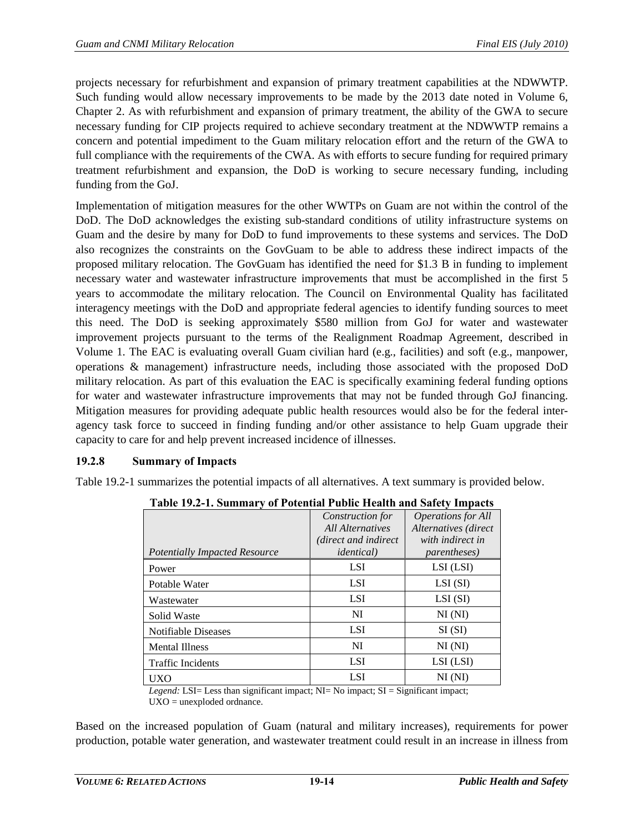projects necessary for refurbishment and expansion of primary treatment capabilities at the NDWWTP. Such funding would allow necessary improvements to be made by the 2013 date noted in Volume 6, Chapter 2. As with refurbishment and expansion of primary treatment, the ability of the GWA to secure necessary funding for CIP projects required to achieve secondary treatment at the NDWWTP remains a concern and potential impediment to the Guam military relocation effort and the return of the GWA to full compliance with the requirements of the CWA. As with efforts to secure funding for required primary treatment refurbishment and expansion, the DoD is working to secure necessary funding, including funding from the GoJ.

Implementation of mitigation measures for the other WWTPs on Guam are not within the control of the DoD. The DoD acknowledges the existing sub-standard conditions of utility infrastructure systems on Guam and the desire by many for DoD to fund improvements to these systems and services. The DoD also recognizes the constraints on the GovGuam to be able to address these indirect impacts of the proposed military relocation. The GovGuam has identified the need for \$1.3 B in funding to implement necessary water and wastewater infrastructure improvements that must be accomplished in the first 5 years to accommodate the military relocation. The Council on Environmental Quality has facilitated interagency meetings with the DoD and appropriate federal agencies to identify funding sources to meet this need. The DoD is seeking approximately \$580 million from GoJ for water and wastewater improvement projects pursuant to the terms of the Realignment Roadmap Agreement, described in Volume 1. The EAC is evaluating overall Guam civilian hard (e.g., facilities) and soft (e.g., manpower, operations & management) infrastructure needs, including those associated with the proposed DoD military relocation. As part of this evaluation the EAC is specifically examining federal funding options for water and wastewater infrastructure improvements that may not be funded through GoJ financing. Mitigation measures for providing adequate public health resources would also be for the federal interagency task force to succeed in finding funding and/or other assistance to help Guam upgrade their capacity to care for and help prevent increased incidence of illnesses.

# **19.2.8 Summary of Impacts**

<span id="page-13-0"></span>[Table 19.2-1](#page-13-0) summarizes the potential impacts of all alternatives. A text summary is provided below.

|                                      | Construction for<br><b>All Alternatives</b> | <b>Operations</b> for All<br>Alternatives (direct |
|--------------------------------------|---------------------------------------------|---------------------------------------------------|
|                                      | (direct and indirect)                       | with indirect in                                  |
| <b>Potentially Impacted Resource</b> | <i>identical</i> )                          | <i>parentheses</i> )                              |
| Power                                | <b>LSI</b>                                  | LSI (LSI)                                         |
| Potable Water                        | <b>LSI</b>                                  | LSI(SI)                                           |
| Wastewater                           | <b>LSI</b>                                  | LSI(SI)                                           |
| Solid Waste                          | NI                                          | NI(MI)                                            |
| Notifiable Diseases                  | <b>LSI</b>                                  | SI(SI)                                            |
| <b>Mental Illness</b>                | NI                                          | NI(MI)                                            |
| <b>Traffic Incidents</b>             | <b>LSI</b>                                  | LSI (LSI)                                         |
| UXO                                  | <b>LSI</b>                                  | $NI$ ( $NI$ )                                     |

**Table 19.2-1. Summary of Potential Public Health and Safety Impacts**

*Legend:* LSI= Less than significant impact; NI= No impact; SI = Significant impact;  $UXO =$  unexploded ordnance.

Based on the increased population of Guam (natural and military increases), requirements for power production, potable water generation, and wastewater treatment could result in an increase in illness from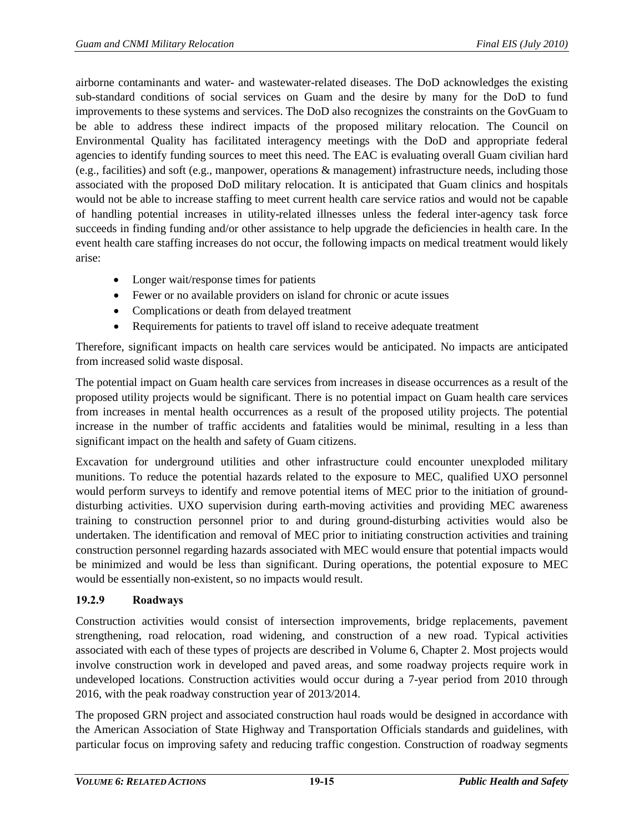airborne contaminants and water- and wastewater-related diseases. The DoD acknowledges the existing sub-standard conditions of social services on Guam and the desire by many for the DoD to fund improvements to these systems and services. The DoD also recognizes the constraints on the GovGuam to be able to address these indirect impacts of the proposed military relocation. The Council on Environmental Quality has facilitated interagency meetings with the DoD and appropriate federal agencies to identify funding sources to meet this need. The EAC is evaluating overall Guam civilian hard (e.g., facilities) and soft (e.g., manpower, operations & management) infrastructure needs, including those associated with the proposed DoD military relocation. It is anticipated that Guam clinics and hospitals would not be able to increase staffing to meet current health care service ratios and would not be capable of handling potential increases in utility-related illnesses unless the federal inter-agency task force succeeds in finding funding and/or other assistance to help upgrade the deficiencies in health care. In the event health care staffing increases do not occur, the following impacts on medical treatment would likely arise:

- Longer wait/response times for patients
- Fewer or no available providers on island for chronic or acute issues
- Complications or death from delayed treatment
- Requirements for patients to travel off island to receive adequate treatment

Therefore, significant impacts on health care services would be anticipated. No impacts are anticipated from increased solid waste disposal.

The potential impact on Guam health care services from increases in disease occurrences as a result of the proposed utility projects would be significant. There is no potential impact on Guam health care services from increases in mental health occurrences as a result of the proposed utility projects. The potential increase in the number of traffic accidents and fatalities would be minimal, resulting in a less than significant impact on the health and safety of Guam citizens.

Excavation for underground utilities and other infrastructure could encounter unexploded military munitions. To reduce the potential hazards related to the exposure to MEC, qualified UXO personnel would perform surveys to identify and remove potential items of MEC prior to the initiation of grounddisturbing activities. UXO supervision during earth-moving activities and providing MEC awareness training to construction personnel prior to and during ground-disturbing activities would also be undertaken. The identification and removal of MEC prior to initiating construction activities and training construction personnel regarding hazards associated with MEC would ensure that potential impacts would be minimized and would be less than significant. During operations, the potential exposure to MEC would be essentially non-existent, so no impacts would result.

# **19.2.9 Roadways**

Construction activities would consist of intersection improvements, bridge replacements, pavement strengthening, road relocation, road widening, and construction of a new road. Typical activities associated with each of these types of projects are described in Volume 6, Chapter 2. Most projects would involve construction work in developed and paved areas, and some roadway projects require work in undeveloped locations. Construction activities would occur during a 7-year period from 2010 through 2016, with the peak roadway construction year of 2013/2014.

The proposed GRN project and associated construction haul roads would be designed in accordance with the American Association of State Highway and Transportation Officials standards and guidelines, with particular focus on improving safety and reducing traffic congestion. Construction of roadway segments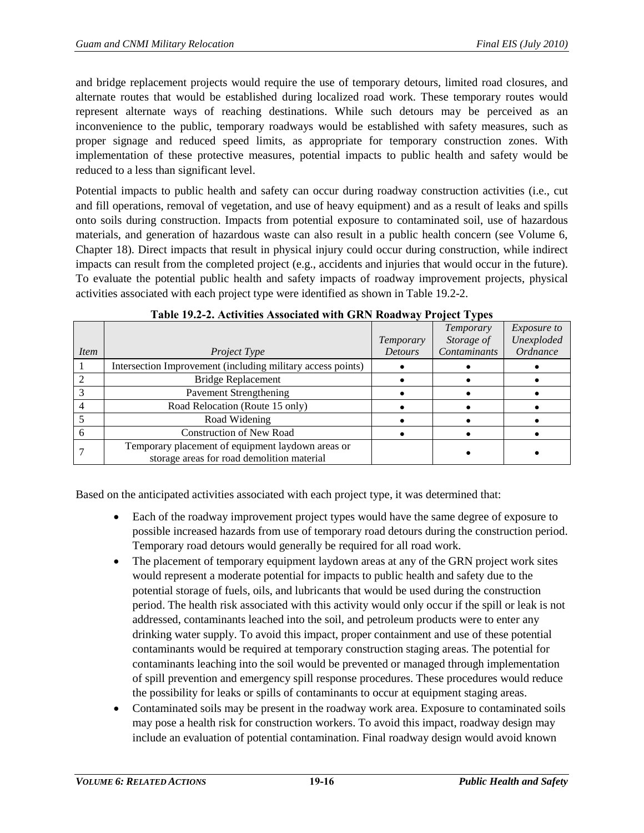and bridge replacement projects would require the use of temporary detours, limited road closures, and alternate routes that would be established during localized road work. These temporary routes would represent alternate ways of reaching destinations. While such detours may be perceived as an inconvenience to the public, temporary roadways would be established with safety measures, such as proper signage and reduced speed limits, as appropriate for temporary construction zones. With implementation of these protective measures, potential impacts to public health and safety would be reduced to a less than significant level.

Potential impacts to public health and safety can occur during roadway construction activities (i.e., cut and fill operations, removal of vegetation, and use of heavy equipment) and as a result of leaks and spills onto soils during construction. Impacts from potential exposure to contaminated soil, use of hazardous materials, and generation of hazardous waste can also result in a public health concern (see Volume 6, Chapter 18). Direct impacts that result in physical injury could occur during construction, while indirect impacts can result from the completed project (e.g., accidents and injuries that would occur in the future). To evaluate the potential public health and safety impacts of roadway improvement projects, physical activities associated with each project type were identified as shown in [Table 19.2-2.](#page-15-0)

<span id="page-15-0"></span>

|      |                                                                                                 | Temporary      | <b>Temporary</b><br>Storage of | <i>Exposure to</i><br>Unexploded |
|------|-------------------------------------------------------------------------------------------------|----------------|--------------------------------|----------------------------------|
| Item | <i>Project Type</i>                                                                             | <b>Detours</b> | Contaminants                   | Ordnance                         |
|      | Intersection Improvement (including military access points)                                     |                |                                |                                  |
|      | <b>Bridge Replacement</b>                                                                       |                |                                |                                  |
|      | <b>Pavement Strengthening</b>                                                                   |                |                                |                                  |
|      | Road Relocation (Route 15 only)                                                                 |                |                                |                                  |
|      | Road Widening                                                                                   |                |                                |                                  |
|      | <b>Construction of New Road</b>                                                                 |                |                                |                                  |
|      | Temporary placement of equipment laydown areas or<br>storage areas for road demolition material |                |                                |                                  |

| Table 19.2-2. Activities Associated with GRN Roadway Project Types |  |
|--------------------------------------------------------------------|--|
|--------------------------------------------------------------------|--|

Based on the anticipated activities associated with each project type, it was determined that:

- Each of the roadway improvement project types would have the same degree of exposure to possible increased hazards from use of temporary road detours during the construction period. Temporary road detours would generally be required for all road work.
- The placement of temporary equipment laydown areas at any of the GRN project work sites would represent a moderate potential for impacts to public health and safety due to the potential storage of fuels, oils, and lubricants that would be used during the construction period. The health risk associated with this activity would only occur if the spill or leak is not addressed, contaminants leached into the soil, and petroleum products were to enter any drinking water supply. To avoid this impact, proper containment and use of these potential contaminants would be required at temporary construction staging areas. The potential for contaminants leaching into the soil would be prevented or managed through implementation of spill prevention and emergency spill response procedures. These procedures would reduce the possibility for leaks or spills of contaminants to occur at equipment staging areas.
- Contaminated soils may be present in the roadway work area. Exposure to contaminated soils may pose a health risk for construction workers. To avoid this impact, roadway design may include an evaluation of potential contamination. Final roadway design would avoid known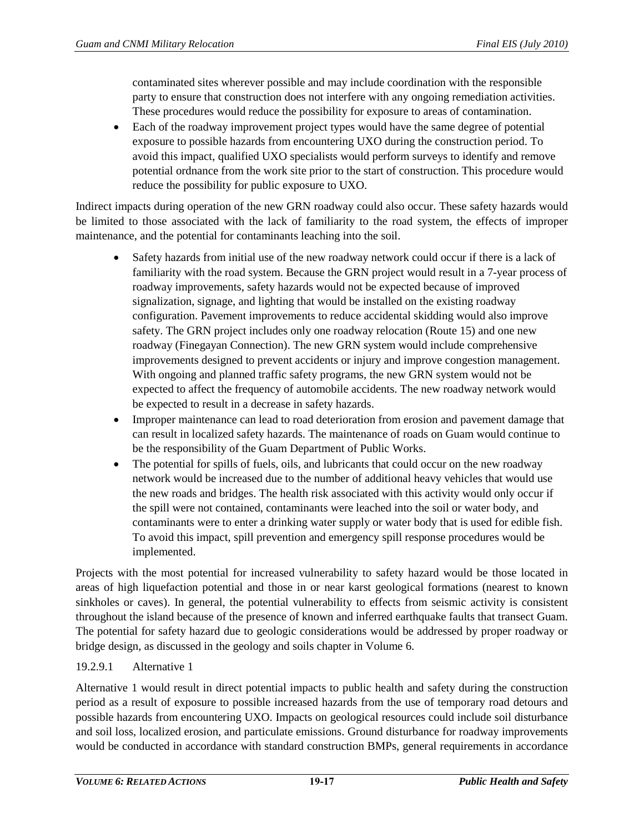contaminated sites wherever possible and may include coordination with the responsible party to ensure that construction does not interfere with any ongoing remediation activities. These procedures would reduce the possibility for exposure to areas of contamination.

• Each of the roadway improvement project types would have the same degree of potential exposure to possible hazards from encountering UXO during the construction period. To avoid this impact, qualified UXO specialists would perform surveys to identify and remove potential ordnance from the work site prior to the start of construction. This procedure would reduce the possibility for public exposure to UXO.

Indirect impacts during operation of the new GRN roadway could also occur. These safety hazards would be limited to those associated with the lack of familiarity to the road system, the effects of improper maintenance, and the potential for contaminants leaching into the soil.

- Safety hazards from initial use of the new roadway network could occur if there is a lack of familiarity with the road system. Because the GRN project would result in a 7-year process of roadway improvements, safety hazards would not be expected because of improved signalization, signage, and lighting that would be installed on the existing roadway configuration. Pavement improvements to reduce accidental skidding would also improve safety. The GRN project includes only one roadway relocation (Route 15) and one new roadway (Finegayan Connection). The new GRN system would include comprehensive improvements designed to prevent accidents or injury and improve congestion management. With ongoing and planned traffic safety programs, the new GRN system would not be expected to affect the frequency of automobile accidents. The new roadway network would be expected to result in a decrease in safety hazards.
- Improper maintenance can lead to road deterioration from erosion and pavement damage that can result in localized safety hazards. The maintenance of roads on Guam would continue to be the responsibility of the Guam Department of Public Works.
- The potential for spills of fuels, oils, and lubricants that could occur on the new roadway network would be increased due to the number of additional heavy vehicles that would use the new roads and bridges. The health risk associated with this activity would only occur if the spill were not contained, contaminants were leached into the soil or water body, and contaminants were to enter a drinking water supply or water body that is used for edible fish. To avoid this impact, spill prevention and emergency spill response procedures would be implemented.

Projects with the most potential for increased vulnerability to safety hazard would be those located in areas of high liquefaction potential and those in or near karst geological formations (nearest to known sinkholes or caves). In general, the potential vulnerability to effects from seismic activity is consistent throughout the island because of the presence of known and inferred earthquake faults that transect Guam. The potential for safety hazard due to geologic considerations would be addressed by proper roadway or bridge design, as discussed in the geology and soils chapter in Volume 6.

# 19.2.9.1 Alternative 1

Alternative 1 would result in direct potential impacts to public health and safety during the construction period as a result of exposure to possible increased hazards from the use of temporary road detours and possible hazards from encountering UXO. Impacts on geological resources could include soil disturbance and soil loss, localized erosion, and particulate emissions. Ground disturbance for roadway improvements would be conducted in accordance with standard construction BMPs, general requirements in accordance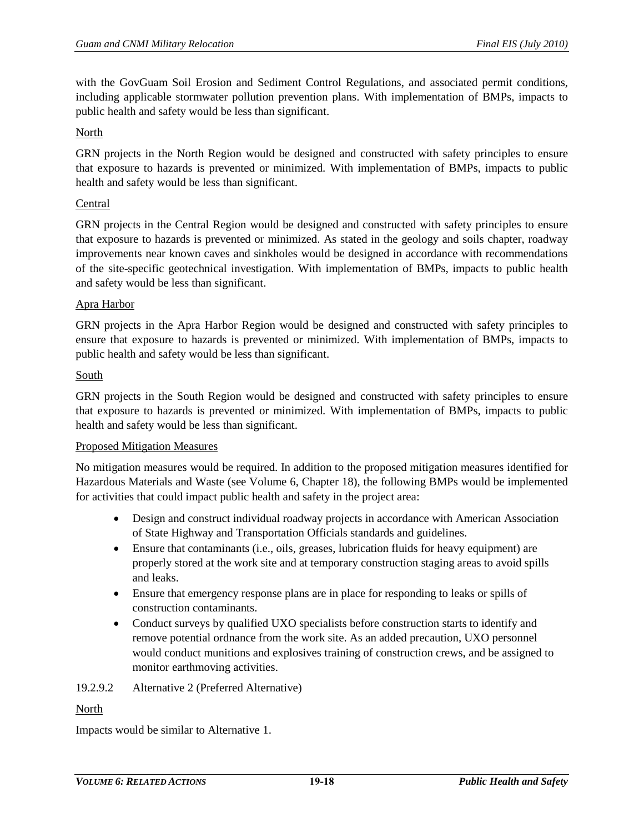with the GovGuam Soil Erosion and Sediment Control Regulations, and associated permit conditions, including applicable stormwater pollution prevention plans. With implementation of BMPs, impacts to public health and safety would be less than significant.

#### North

GRN projects in the North Region would be designed and constructed with safety principles to ensure that exposure to hazards is prevented or minimized. With implementation of BMPs, impacts to public health and safety would be less than significant.

#### Central

GRN projects in the Central Region would be designed and constructed with safety principles to ensure that exposure to hazards is prevented or minimized. As stated in the geology and soils chapter, roadway improvements near known caves and sinkholes would be designed in accordance with recommendations of the site-specific geotechnical investigation. With implementation of BMPs, impacts to public health and safety would be less than significant.

#### Apra Harbor

GRN projects in the Apra Harbor Region would be designed and constructed with safety principles to ensure that exposure to hazards is prevented or minimized. With implementation of BMPs, impacts to public health and safety would be less than significant.

#### South

GRN projects in the South Region would be designed and constructed with safety principles to ensure that exposure to hazards is prevented or minimized. With implementation of BMPs, impacts to public health and safety would be less than significant.

#### Proposed Mitigation Measures

No mitigation measures would be required. In addition to the proposed mitigation measures identified for Hazardous Materials and Waste (see Volume 6, Chapter 18), the following BMPs would be implemented for activities that could impact public health and safety in the project area:

- Design and construct individual roadway projects in accordance with American Association of State Highway and Transportation Officials standards and guidelines.
- Ensure that contaminants (i.e., oils, greases, lubrication fluids for heavy equipment) are properly stored at the work site and at temporary construction staging areas to avoid spills and leaks.
- Ensure that emergency response plans are in place for responding to leaks or spills of construction contaminants.
- Conduct surveys by qualified UXO specialists before construction starts to identify and remove potential ordnance from the work site. As an added precaution, UXO personnel would conduct munitions and explosives training of construction crews, and be assigned to monitor earthmoving activities.

#### 19.2.9.2 Alternative 2 (Preferred Alternative)

#### North

Impacts would be similar to Alternative 1.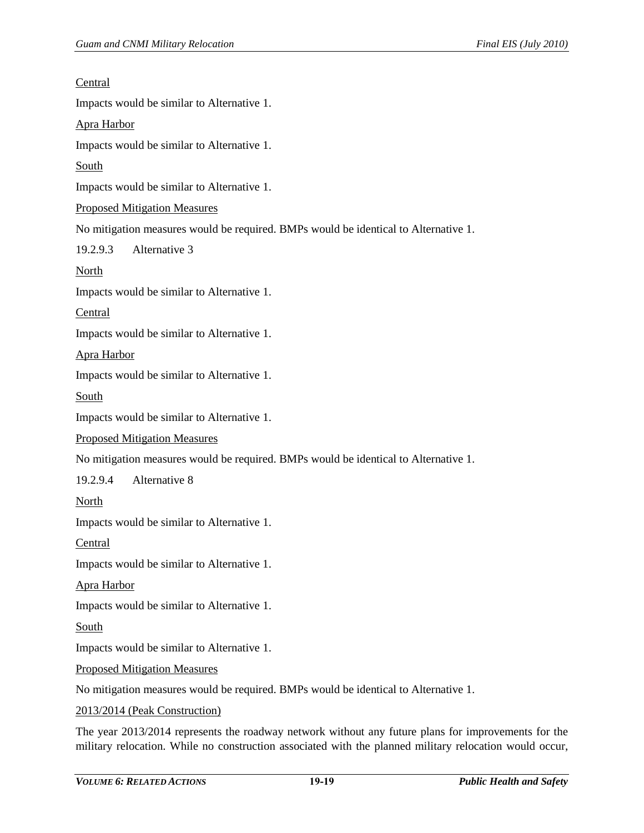| <u>Central</u>                                                                      |
|-------------------------------------------------------------------------------------|
| Impacts would be similar to Alternative 1.                                          |
| Apra Harbor                                                                         |
| Impacts would be similar to Alternative 1.                                          |
| <b>South</b>                                                                        |
| Impacts would be similar to Alternative 1.                                          |
| <b>Proposed Mitigation Measures</b>                                                 |
| No mitigation measures would be required. BMPs would be identical to Alternative 1. |
| Alternative 3<br>19.2.9.3                                                           |
| <b>North</b>                                                                        |
| Impacts would be similar to Alternative 1.                                          |
| Central                                                                             |
| Impacts would be similar to Alternative 1.                                          |
| <b>Apra Harbor</b>                                                                  |
| Impacts would be similar to Alternative 1.                                          |
| <b>South</b>                                                                        |
| Impacts would be similar to Alternative 1.                                          |
| <b>Proposed Mitigation Measures</b>                                                 |
| No mitigation measures would be required. BMPs would be identical to Alternative 1. |
| Alternative 8<br>19.2.9.4                                                           |
| <b>North</b>                                                                        |
| Impacts would be similar to Alternative 1.                                          |
| <b>Central</b>                                                                      |
| Impacts would be similar to Alternative 1.                                          |
| <b>Apra Harbor</b>                                                                  |
| Impacts would be similar to Alternative 1.                                          |
| <b>South</b>                                                                        |
| Impacts would be similar to Alternative 1.                                          |
| <b>Proposed Mitigation Measures</b>                                                 |
| No mitigation measures would be required. BMPs would be identical to Alternative 1. |
| 2013/2014 (Peak Construction)                                                       |
|                                                                                     |

The year 2013/2014 represents the roadway network without any future plans for improvements for the military relocation. While no construction associated with the planned military relocation would occur,